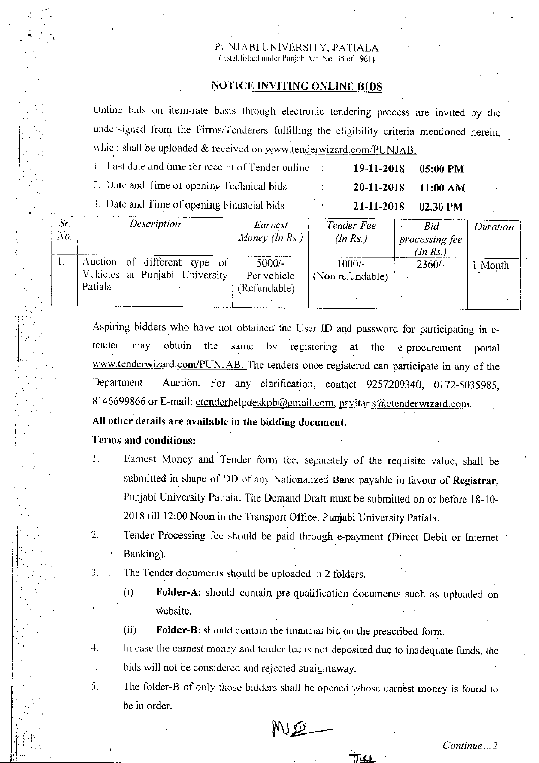#### PUNJABI UNIVERSITY, PATIALA (listablished under Punjab Act, No. 35 of 1961).

#### **NOTICE INVITING ONLINE BIDS**

Online bids on item-rate basis through electronic tendering process are invited by the undersigned from the Firms/Tenderers fulfilling the eligibility criteria mentioned herein, which shall be uploaded  $\&$  received on www.tenderwizard.com/PUNJAB.

| 1. Last date and time for receipt of Tender online | $19-11-2018$ 05:00 PM |  |
|----------------------------------------------------|-----------------------|--|
| 2. Date and Time of opening Technical bids         | $20-11-2018$ 11:00 AM |  |
| 3. Date and Time of opening Financial bids.        | 21-11-2018 02.30 PM   |  |

| Sr.<br>No. | Description                                                                  | Earnest<br>Money (In Rs.)               | Tender Fee<br>(In Rs.)       | Bid<br>processing fee<br>(In Rs.) | Duration |
|------------|------------------------------------------------------------------------------|-----------------------------------------|------------------------------|-----------------------------------|----------|
|            | different type of<br>Auction of<br>Vehicles at Punjabi University<br>Patiala | $5000/-$<br>Per vehicle<br>(Refundable) | $1000/-$<br>(Non refundable) | 2360/                             | Month    |

Aspiring bidders who have not obtained the User ID and password for participating in etender may obtain the same  $by$ registering at the e-procurement portal www.tenderwizard.com/PUNJAB. The tenders once registered can participate in any of the Auction. For any clarification, contact 9257209340, 0172-5035985, Department 8146699866 or E-mail: etenderhelpdeskpb@gmail.com, pavitar.s@etenderwizard.com.

### All other details are available in the bidding document.

#### Terms and conditions:

- Earnest Money and Tender form fee, separately of the requisite value, shall be 1. submitted in shape of DD of any Nationalized Bank payable in favour of Registrar, Punjabi University Patiala. The Demand Draft must be submitted on or before 18-10-2018 till 12:00 Noon in the Transport Office, Punjabi University Patiala.
- $2.$ Tender Processing fee should be paid through e-payment (Direct Debit or Internet Banking).
- 3. The Tender documents should be uploaded in 2 folders.
	- Folder-A: should contain pre-qualification documents such as uploaded on  $(i)$ website.
	- $(ii)$ Folder-B: should contain the financial bid on the prescribed form.
- 4. In case the carnest money and tender fee is not deposited due to inadequate funds, the bids will not be considered and rejected straightaway.
- The folder-B of only those bidders shall be opened whose carnest money is found to 5. be in order.

MISO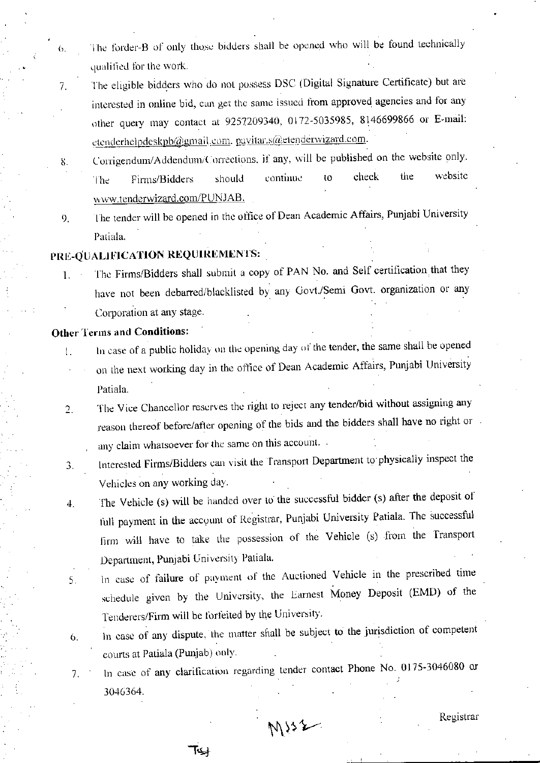- The forder-B of only those bidders shall be opened who will be found technically qualified for the work.
- The eligible bidders who do not possess DSC (Digital Signature Certificate) but are 7. interested in online bid, can get the same issued from approved agencies and for any other query may contact at 9257209340, 0172-5035985, 8146699866 or E-mail: etenderhelpdeskpb@gmail.com. pavitar.s@etenderwizard.com.
- Corrigendum/Addendum/Corrections, if any, will be published on the website only. 8. website check the continue to should Firms/Bidders The www.tenderwizard.com/PUNJAB.
- The tender will be opened in the office of Dean Academic Affairs, Punjabi University 9. Patiala.

### PRE-OUALIFICATION REQUIREMENTS:

The Firms/Bidders shall submit a copy of PAN No. and Self certification that they  $1.$ have not been debarred/blacklisted by any Govt./Semi Govt. organization or any Corporation at any stage.

### **Other Terms and Conditions:**

 $\theta$ .

- In case of a public holiday on the opening day of the tender, the same shall be opened  $\mathbf{L}$ 
	- on the next working day in the office of Dean Academic Affairs, Punjabi University Patiala.
- The Vice Chancellor reserves the right to reject any tender/bid without assigning any  $2.$ reason thereof before/after opening of the bids and the bidders shall have no right or any claim whatsoever for the same on this account.
- Interested Firms/Bidders can visit the Transport Department to physically inspect the 3. Vehicles on any working day.
- The Vehicle (s) will be handed over to the successful bidder (s) after the deposit of  $\ddot{a}$ . full payment in the account of Registrar, Punjabi University Patiala. The successful firm will have to take the possession of the Vehicle (s) from the Transport Department, Punjabi University Patiala.
- In case of failure of payment of the Auctioned Vehicle in the prescribed time 5. schedule given by the University, the Earnest Money Deposit (EMD) of the Tenderers/Firm will be forfeited by the University.
- In case of any dispute, the matter shall be subject to the jurisdiction of competent 6. courts at Patiala (Punjab) only.
- In case of any clarification regarding tender contact Phone No. 0175-3046080 or 7. 3046364.

لمکآ

MISZ

Registrar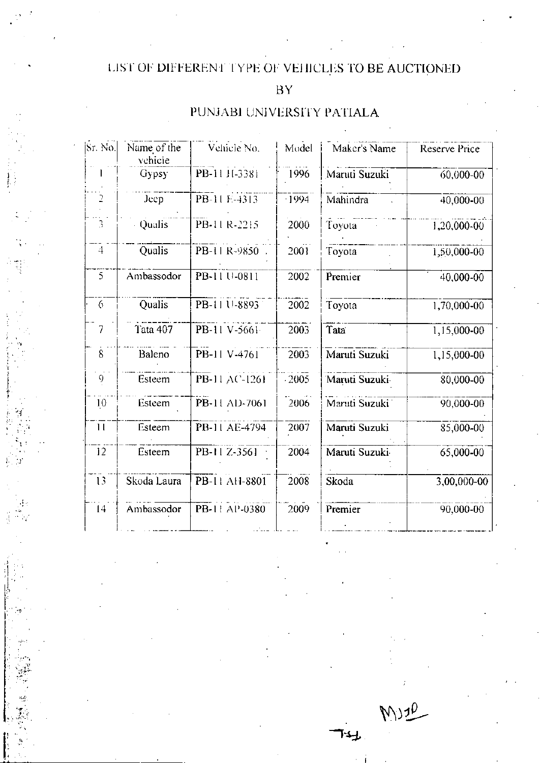# LIST OF DIFFERENT TYPE OF VEHICLES TO BE AUCTIONED

## $BY$

## PUNJABI UNIVERSITY PATIALA

| Sr. No.             | Name of the<br>vehicle | Vehicle No.   | Model   | Maker's Name   | Reserve Price |
|---------------------|------------------------|---------------|---------|----------------|---------------|
|                     | Gypsy                  | PB-11 H-3381  | 1996    | Maruti Suzuki  | 60,000-00     |
| $\overline{2}$      | Jeep                   | PB-11 E-4313  | $-1994$ | Mahindra       | 40,000-00     |
| Ŝ                   | Qualis                 | PB-11 R-2215  | 2000    | Toyota         | 1,20,000-00   |
| $\ddot{+}$          | Qualis                 | PB-11 R-9850  | 2001    | Toyota         | 1,50,000-00   |
| 5                   | Ambassodor             | PB-11 U-0811  | 2002    | Premier        | 40,000-00     |
| 6                   | Qualis                 | PB-11 U-8893  | 2002    | Toyota         | 1,70,000-00   |
| 7                   | Tata 407               | PB-11 V-5661  | 2003    | Tata           | 1,15,000-00   |
| $\overline{\delta}$ | Baleno                 | PB-11 V-4761  | 2003    | Maruti Suzuki  | 1,15,000-00   |
| 9                   | Esteem                 | PB-11 AC-1261 | $-2005$ | Maruti Suzuki  | 80,000-00     |
| 10                  | Esteem                 | PB-11 AD-7061 | 2006    | Maruti Suzuki  | 90,000-00     |
| 11                  | Esteem                 | PB-11 AE-4794 | 2007    | Maruti Suzuki  | 85,000-00     |
| 12                  | Esteem                 | PB-11 Z-3561  | 2004    | Maruti Suzuki- | 65,000-00     |
| 13                  | Skoda Laura            | PB-11 AH-8801 | 2008    | Skoda          | 3,00,000-00   |
| 14                  | Ambassodor             | PB-11 AP-0380 | 2009    | Premier        | 90,000-00     |

MUZO